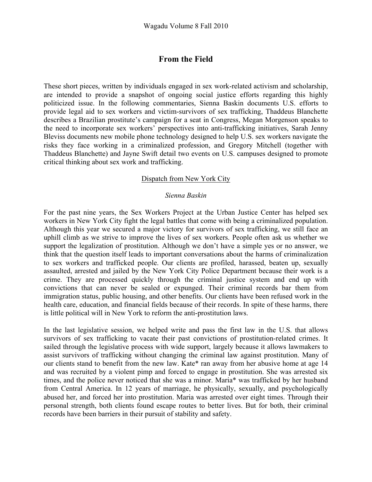# **From the Field**

These short pieces, written by individuals engaged in sex work-related activism and scholarship, are intended to provide a snapshot of ongoing social justice efforts regarding this highly politicized issue. In the following commentaries, Sienna Baskin documents U.S. efforts to provide legal aid to sex workers and victim-survivors of sex trafficking, Thaddeus Blanchette describes a Brazilian prostitute's campaign for a seat in Congress, Megan Morgenson speaks to the need to incorporate sex workers' perspectives into anti-trafficking initiatives, Sarah Jenny Bleviss documents new mobile phone technology designed to help U.S. sex workers navigate the risks they face working in a criminalized profession, and Gregory Mitchell (together with Thaddeus Blanchette) and Jayne Swift detail two events on U.S. campuses designed to promote critical thinking about sex work and trafficking.

### Dispatch from New York City

#### *Sienna Baskin*

For the past nine years, the Sex Workers Project at the Urban Justice Center has helped sex workers in New York City fight the legal battles that come with being a criminalized population. Although this year we secured a major victory for survivors of sex trafficking, we still face an uphill climb as we strive to improve the lives of sex workers. People often ask us whether we support the legalization of prostitution. Although we don't have a simple yes or no answer, we think that the question itself leads to important conversations about the harms of criminalization to sex workers and trafficked people. Our clients are profiled, harassed, beaten up, sexually assaulted, arrested and jailed by the New York City Police Department because their work is a crime. They are processed quickly through the criminal justice system and end up with convictions that can never be sealed or expunged. Their criminal records bar them from immigration status, public housing, and other benefits. Our clients have been refused work in the health care, education, and financial fields because of their records. In spite of these harms, there is little political will in New York to reform the anti-prostitution laws.

In the last legislative session, we helped write and pass the first law in the U.S. that allows survivors of sex trafficking to vacate their past convictions of prostitution-related crimes. It sailed through the legislative process with wide support, largely because it allows lawmakers to assist survivors of trafficking without changing the criminal law against prostitution. Many of our clients stand to benefit from the new law. Kate\* ran away from her abusive home at age 14 and was recruited by a violent pimp and forced to engage in prostitution. She was arrested six times, and the police never noticed that she was a minor. Maria\* was trafficked by her husband from Central America. In 12 years of marriage, he physically, sexually, and psychologically abused her, and forced her into prostitution. Maria was arrested over eight times. Through their personal strength, both clients found escape routes to better lives. But for both, their criminal records have been barriers in their pursuit of stability and safety.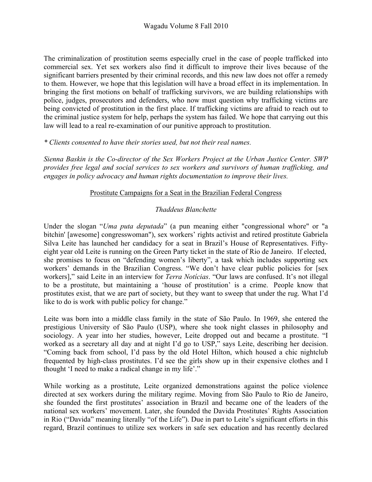The criminalization of prostitution seems especially cruel in the case of people trafficked into commercial sex. Yet sex workers also find it difficult to improve their lives because of the significant barriers presented by their criminal records, and this new law does not offer a remedy to them. However, we hope that this legislation will have a broad effect in its implementation. In bringing the first motions on behalf of trafficking survivors, we are building relationships with police, judges, prosecutors and defenders, who now must question why trafficking victims are being convicted of prostitution in the first place. If trafficking victims are afraid to reach out to the criminal justice system for help, perhaps the system has failed. We hope that carrying out this law will lead to a real re-examination of our punitive approach to prostitution.

### *\* Clients consented to have their stories used, but not their real names.*

*Sienna Baskin is the Co-director of the Sex Workers Project at the Urban Justice Center. SWP provides free legal and social services to sex workers and survivors of human trafficking, and engages in policy advocacy and human rights documentation to improve their lives.* 

## Prostitute Campaigns for a Seat in the Brazilian Federal Congress

## *Thaddeus Blanchette*

Under the slogan "*Uma puta deputada*" (a pun meaning either "congressional whore" or "a bitchin' [awesome] congresswoman"), sex workers' rights activist and retired prostitute Gabriela Silva Leite has launched her candidacy for a seat in Brazil's House of Representatives. Fiftyeight year old Leite is running on the Green Party ticket in the state of Rio de Janeiro. If elected, she promises to focus on "defending women's liberty", a task which includes supporting sex workers' demands in the Brazilian Congress. "We don't have clear public policies for [sex workers]," said Leite in an interview for *Terra Notícias*. "Our laws are confused. It's not illegal to be a prostitute, but maintaining a 'house of prostitution' is a crime. People know that prostitutes exist, that we are part of society, but they want to sweep that under the rug. What I'd like to do is work with public policy for change."

Leite was born into a middle class family in the state of São Paulo. In 1969, she entered the prestigious University of São Paulo (USP), where she took night classes in philosophy and sociology. A year into her studies, however, Leite dropped out and became a prostitute. "I worked as a secretary all day and at night I'd go to USP," says Leite, describing her decision. "Coming back from school, I'd pass by the old Hotel Hilton, which housed a chic nightclub frequented by high-class prostitutes. I'd see the girls show up in their expensive clothes and I thought 'I need to make a radical change in my life'."

While working as a prostitute, Leite organized demonstrations against the police violence directed at sex workers during the military regime. Moving from São Paulo to Rio de Janeiro, she founded the first prostitutes' association in Brazil and became one of the leaders of the national sex workers' movement. Later, she founded the Davida Prostitutes' Rights Association in Rio ("Davida" meaning literally "of the Life"). Due in part to Leite's significant efforts in this regard, Brazil continues to utilize sex workers in safe sex education and has recently declared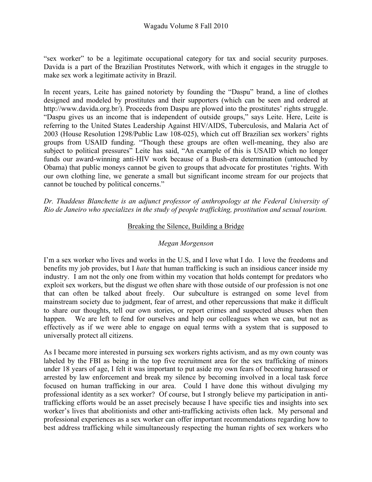"sex worker" to be a legitimate occupational category for tax and social security purposes. Davida is a part of the Brazilian Prostitutes Network, with which it engages in the struggle to make sex work a legitimate activity in Brazil.

In recent years, Leite has gained notoriety by founding the "Daspu" brand, a line of clothes designed and modeled by prostitutes and their supporters (which can be seen and ordered at http://www.davida.org.br/). Proceeds from Daspu are plowed into the prostitutes' rights struggle. "Daspu gives us an income that is independent of outside groups," says Leite. Here, Leite is referring to the United States Leadership Against HIV/AIDS, Tuberculosis, and Malaria Act of 2003 (House Resolution 1298/Public Law 108-025), which cut off Brazilian sex workers' rights groups from USAID funding. "Though these groups are often well-meaning, they also are subject to political pressures" Leite has said, "An example of this is USAID which no longer funds our award-winning anti-HIV work because of a Bush-era determination (untouched by Obama) that public moneys cannot be given to groups that advocate for prostitutes 'rights. With our own clothing line, we generate a small but significant income stream for our projects that cannot be touched by political concerns."

*Dr. Thaddeus Blanchette is an adjunct professor of anthropology at the Federal University of Rio de Janeiro who specializes in the study of people trafficking, prostitution and sexual tourism.*

### Breaking the Silence, Building a Bridge

### *Megan Morgenson*

I'm a sex worker who lives and works in the U.S, and I love what I do. I love the freedoms and benefits my job provides, but I *hate* that human trafficking is such an insidious cancer inside my industry. I am not the only one from within my vocation that holds contempt for predators who exploit sex workers, but the disgust we often share with those outside of our profession is not one that can often be talked about freely. Our subculture is estranged on some level from mainstream society due to judgment, fear of arrest, and other repercussions that make it difficult to share our thoughts, tell our own stories, or report crimes and suspected abuses when then happen. We are left to fend for ourselves and help our colleagues when we can, but not as effectively as if we were able to engage on equal terms with a system that is supposed to universally protect all citizens.

As I became more interested in pursuing sex workers rights activism, and as my own county was labeled by the FBI as being in the top five recruitment area for the sex trafficking of minors under 18 years of age, I felt it was important to put aside my own fears of becoming harassed or arrested by law enforcement and break my silence by becoming involved in a local task force focused on human trafficking in our area. Could I have done this without divulging my professional identity as a sex worker? Of course, but I strongly believe my participation in antitrafficking efforts would be an asset precisely because I have specific ties and insights into sex worker's lives that abolitionists and other anti-trafficking activists often lack. My personal and professional experiences as a sex worker can offer important recommendations regarding how to best address trafficking while simultaneously respecting the human rights of sex workers who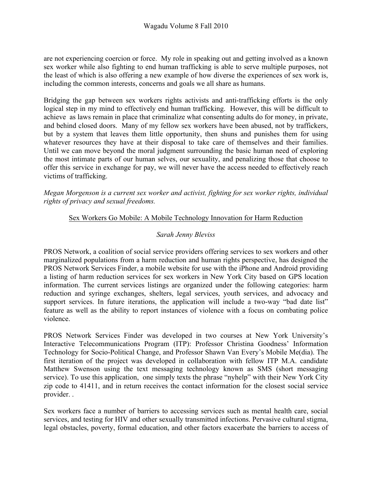are not experiencing coercion or force. My role in speaking out and getting involved as a known sex worker while also fighting to end human trafficking is able to serve multiple purposes, not the least of which is also offering a new example of how diverse the experiences of sex work is, including the common interests, concerns and goals we all share as humans.

Bridging the gap between sex workers rights activists and anti-trafficking efforts is the only logical step in my mind to effectively end human trafficking. However, this will be difficult to achieve as laws remain in place that criminalize what consenting adults do for money, in private, and behind closed doors. Many of my fellow sex workers have been abused, not by traffickers, but by a system that leaves them little opportunity, then shuns and punishes them for using whatever resources they have at their disposal to take care of themselves and their families. Until we can move beyond the moral judgment surrounding the basic human need of exploring the most intimate parts of our human selves, our sexuality, and penalizing those that choose to offer this service in exchange for pay, we will never have the access needed to effectively reach victims of trafficking.

*Megan Morgenson is a current sex worker and activist, fighting for sex worker rights, individual rights of privacy and sexual freedoms.*

#### Sex Workers Go Mobile: A Mobile Technology Innovation for Harm Reduction

#### *Sarah Jenny Bleviss*

PROS Network, a coalition of social service providers offering services to sex workers and other marginalized populations from a harm reduction and human rights perspective, has designed the PROS Network Services Finder, a mobile website for use with the iPhone and Android providing a listing of harm reduction services for sex workers in New York City based on GPS location information. The current services listings are organized under the following categories: harm reduction and syringe exchanges, shelters, legal services, youth services, and advocacy and support services. In future iterations, the application will include a two-way "bad date list" feature as well as the ability to report instances of violence with a focus on combating police violence.

PROS Network Services Finder was developed in two courses at New York University's Interactive Telecommunications Program (ITP): Professor Christina Goodness' Information Technology for Socio-Political Change, and Professor Shawn Van Every's Mobile Me(dia). The first iteration of the project was developed in collaboration with fellow ITP M.A. candidate Matthew Swenson using the text messaging technology known as SMS (short messaging service). To use this application, one simply texts the phrase "nyhelp" with their New York City zip code to 41411, and in return receives the contact information for the closest social service provider. .

Sex workers face a number of barriers to accessing services such as mental health care, social services, and testing for HIV and other sexually transmitted infections. Pervasive cultural stigma, legal obstacles, poverty, formal education, and other factors exacerbate the barriers to access of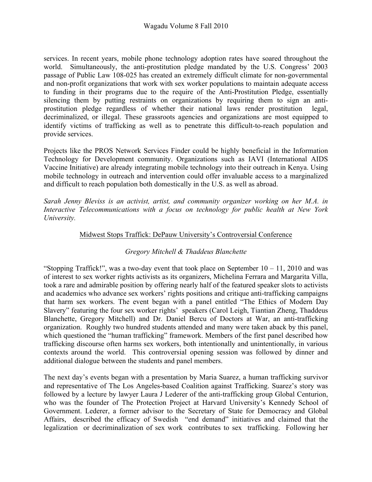services. In recent years, mobile phone technology adoption rates have soared throughout the world. Simultaneously, the anti-prostitution pledge mandated by the U.S. Congress' 2003 passage of Public Law 108-025 has created an extremely difficult climate for non-governmental and non-profit organizations that work with sex worker populations to maintain adequate access to funding in their programs due to the require of the Anti-Prostitution Pledge, essentially silencing them by putting restraints on organizations by requiring them to sign an antiprostitution pledge regardless of whether their national laws render prostitution legal, decriminalized, or illegal. These grassroots agencies and organizations are most equipped to identify victims of trafficking as well as to penetrate this difficult-to-reach population and provide services.

Projects like the PROS Network Services Finder could be highly beneficial in the Information Technology for Development community. Organizations such as IAVI (International AIDS Vaccine Initiative) are already integrating mobile technology into their outreach in Kenya. Using mobile technology in outreach and intervention could offer invaluable access to a marginalized and difficult to reach population both domestically in the U.S. as well as abroad.

*Sarah Jenny Bleviss is an activist, artist, and community organizer working on her M.A. in Interactive Telecommunications with a focus on technology for public health at New York University.*

## Midwest Stops Traffick: DePauw University's Controversial Conference

## *Gregory Mitchell & Thaddeus Blanchette*

"Stopping Traffick!", was a two-day event that took place on September  $10 - 11$ , 2010 and was of interest to sex worker rights activists as its organizers, Michelina Ferrara and Margarita Villa, took a rare and admirable position by offering nearly half of the featured speaker slots to activists and academics who advance sex workers' rights positions and critique anti-trafficking campaigns that harm sex workers. The event began with a panel entitled "The Ethics of Modern Day Slavery" featuring the four sex worker rights' speakers (Carol Leigh, Tiantian Zheng, Thaddeus Blanchette, Gregory Mitchell) and Dr. Daniel Bercu of Doctors at War, an anti-trafficking organization. Roughly two hundred students attended and many were taken aback by this panel, which questioned the "human trafficking" framework. Members of the first panel described how trafficking discourse often harms sex workers, both intentionally and unintentionally, in various contexts around the world. This controversial opening session was followed by dinner and additional dialogue between the students and panel members.

The next day's events began with a presentation by Maria Suarez, a human trafficking survivor and representative of The Los Angeles-based Coalition against Trafficking. Suarez's story was followed by a lecture by lawyer Laura J Lederer of the anti-trafficking group Global Centurion, who was the founder of The Protection Project at Harvard University's Kennedy School of Government. Lederer, a former advisor to the Secretary of State for Democracy and Global Affairs, described the efficacy of Swedish "end demand" initiatives and claimed that the legalization or decriminalization of sex work contributes to sex trafficking. Following her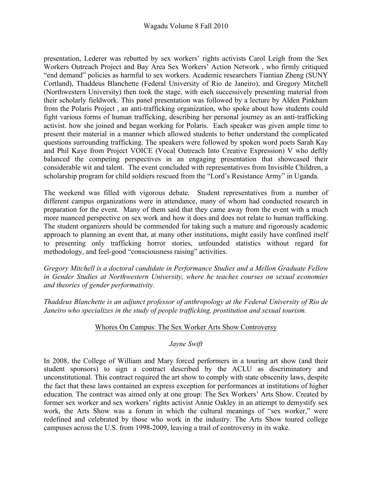presentation, Lederer was rebutted by sex workers' rights activists Carol Leigh from the Sex Workers Outreach Project and Bay Area Sex Workers' Action Network , who firmly critiqued "end demand" policies as harmful to sex workers. Academic researchers Tiantian Zheng (SUNY Cortland), Thaddeus Blanchette (Federal University of Rio de Janeiro), and Gregory Mitchell (Northwestern University) then took the stage, with each successively presenting material from their scholarly fieldwork. This panel presentation was followed by a lecture by Alden Pinkham from the Polaris Project , an anti-trafficking organization, who spoke about how students could fight various forms of human trafficking, describing her personal journey as an anti-trafficking activist. how she joined and began working for Polaris. Each speaker was given ample time to present their material in a manner which allowed students to better understand the complicated questions surrounding trafficking. The speakers were followed by spoken word poets Sarah Kay and Phil Kaye from Project VOICE (Vocal Outreach Into Creative Expression) V who deftly balanced the competing perspectives in an engaging presentation that showcased their considerable wit and talent. The event concluded with representatives from Invisible Children, a scholarship program for child soldiers rescued from the "Lord's Resistance Army" in Uganda.

The weekend was filled with vigorous debate. Student representatives from a number of different campus organizations were in attendance, many of whom had conducted research in preparation for the event. Many of them said that they came away from the event with a much more nuanced perspective on sex work and how it does and does not relate to human trafficking. The student organizers should be commended for taking such a mature and rigorously academic approach to planning an event that, at many other institutions, might easily have confined itself to presenting only trafficking horror stories, unfounded statistics without regard for methodology, and feel-good "consciousness raising" activities.

*Gregory Mitchell is a doctoral candidate in Performance Studies and a Mellon Graduate Fellow in Gender Studies at Northwestern University, where he teaches courses on sexual economies and theories of gender performativity.*

*Thaddeus Blanchette is an adjunct professor of anthropology at the Federal University of Rio de Janeiro who specializes in the study of people trafficking, prostitution and sexual tourism.*

### Whores On Campus: The Sex Worker Arts Show Controversy

### *Jayne Swift*

In 2008, the College of William and Mary forced performers in a touring art show (and their student sponsors) to sign a contract described by the ACLU as discriminatory and unconstitutional. This contract required the art show to comply with state obscenity laws, despite the fact that these laws contained an express exception for performances at institutions of higher education. The contract was aimed only at one group: The Sex Workers' Arts Show. Created by former sex worker and sex workers' rights activist Annie Oakley in an attempt to demystify sex work, the Arts Show was a forum in which the cultural meanings of "sex worker," were redefined and celebrated by those who work in the industry. The Arts Show toured college campuses across the U.S. from 1998-2009, leaving a trail of controversy in its wake.